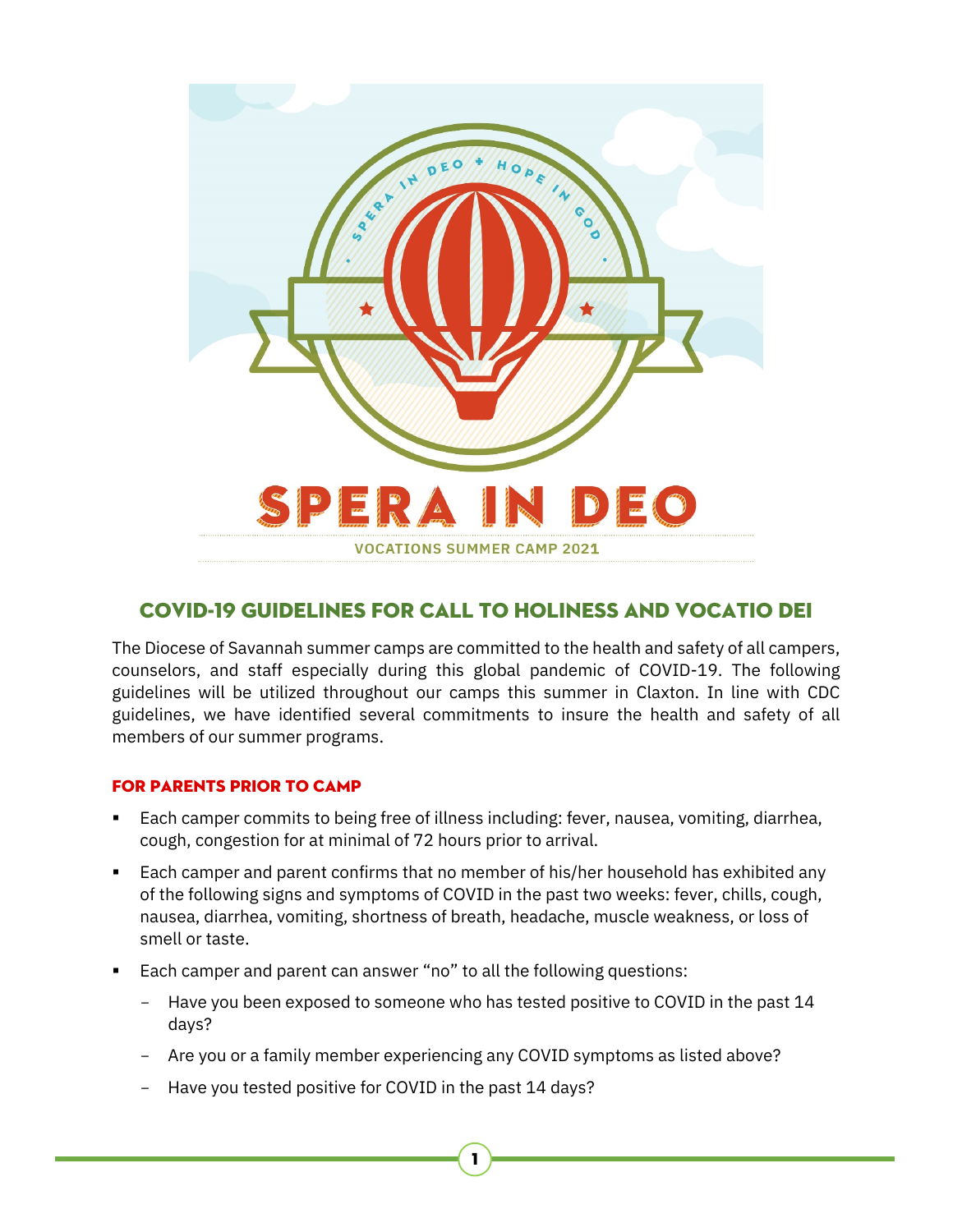

# COVID-19 Guidelines for Call to Holiness and Vocatio Dei

The Diocese of Savannah summer camps are committed to the health and safety of all campers, counselors, and staff especially during this global pandemic of COVID-19. The following guidelines will be utilized throughout our camps this summer in Claxton. In line with CDC guidelines, we have identified several commitments to insure the health and safety of all members of our summer programs.

## For Parents Prior to Camp

- Each camper commits to being free of illness including: fever, nausea, vomiting, diarrhea, cough, congestion for at minimal of 72 hours prior to arrival.
- **Each camper and parent confirms that no member of his/her household has exhibited any** of the following signs and symptoms of COVID in the past two weeks: fever, chills, cough, nausea, diarrhea, vomiting, shortness of breath, headache, muscle weakness, or loss of smell or taste.
- Each camper and parent can answer "no" to all the following questions:
	- Have you been exposed to someone who has tested positive to COVID in the past 14 days?

1

- Are you or a family member experiencing any COVID symptoms as listed above?
- Have you tested positive for COVID in the past 14 days?